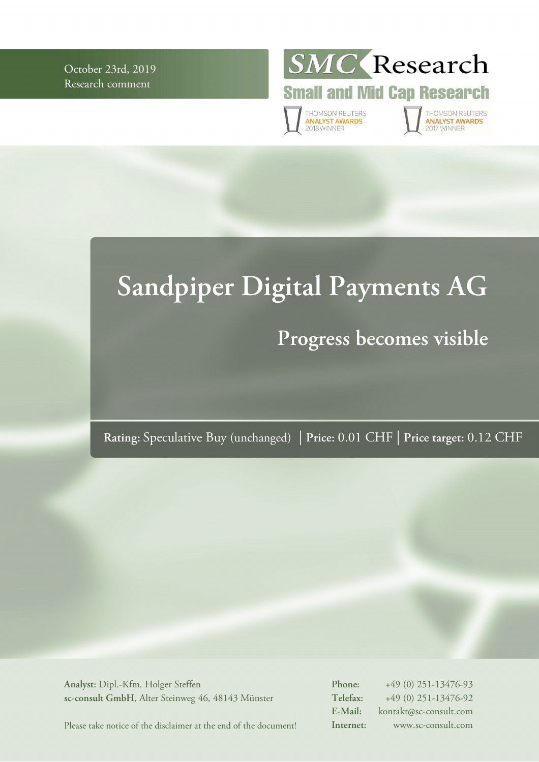October 23rd, 2019 Research comment



**Small and Mid Cap Research** 

THOMSON REUTERS<br>**ANALYST AWARDS**<br>2018 WINNER

THOMSON REUTERS<br>**ANALYST AWARDS 017 WINNER** 

# **Sandpiper Digital Payments AG**

# **Progress becomes visible**

**Rating:** Speculative Buy (unchanged) | **Price:** 0.01 CHF | **Price target:** 0.12 CHF

**Analyst:** Dipl.-Kfm. Holger Steffen **sc-consult GmbH**, Alter Steinweg 46, 48143 Münster **Phone:** +49 (0) 251-13476-93 **Telefax:** +49 (0) 251-13476-92 **E-Mail:** kontakt@sc-consult.com **Internet:** www.sc-consult.com

Please take notice of the disclaimer at the end of the document!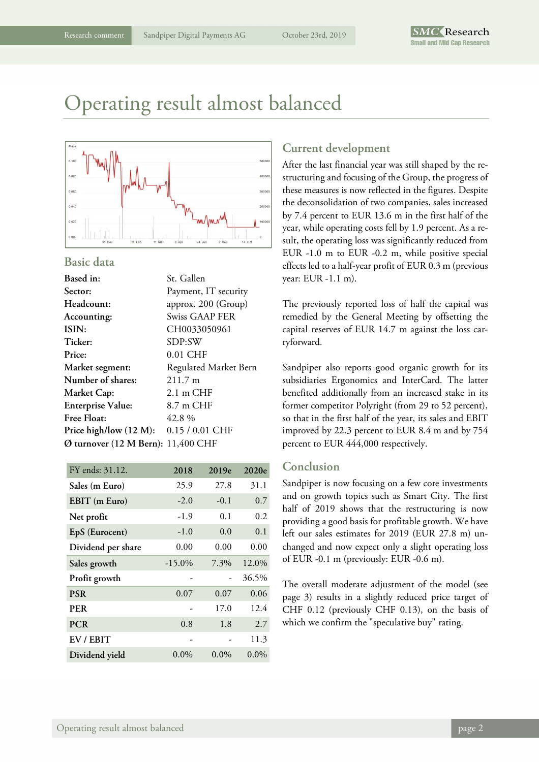# Operating result almost balanced



#### **Basic data**

| Based in:                                    | St. Gallen            |
|----------------------------------------------|-----------------------|
| Sector:                                      | Payment, IT security  |
| <b>Headcount:</b>                            | approx. 200 (Group)   |
| Accounting:                                  | Swiss GAAP FER        |
| ISIN:                                        | CH0033050961          |
| Ticker:                                      | SDP:SW                |
| Price:                                       | $0.01$ CHF            |
| Market segment:                              | Regulated Market Bern |
| Number of shares:                            | $211.7 \text{ m}$     |
| <b>Market Cap:</b>                           | $2.1 \text{ m }$ CHF  |
| <b>Enterprise Value:</b>                     | 8.7 m CHF             |
| <b>Free Float:</b>                           | 42.8%                 |
| Price high/low (12 M): 0.15 / 0.01 CHF       |                       |
| $\emptyset$ turnover (12 M Bern): 11,400 CHF |                       |

| FY ends: 31.12.    | 2018      | 2019e   | 2020e   |
|--------------------|-----------|---------|---------|
| Sales (m Euro)     | 25.9      | 27.8    | 31.1    |
| EBIT (m Euro)      | $-2.0$    | $-0.1$  | 0.7     |
| Net profit         | $-1.9$    | 0.1     | 0.2     |
| EpS (Eurocent)     | $-1.0$    | 0.0     | 0.1     |
| Dividend per share | 0.00      | 0.00    | 0.00    |
| Sales growth       | $-15.0\%$ | 7.3%    | 12.0%   |
| Profit growth      |           |         | 36.5%   |
| <b>PSR</b>         | 0.07      | 0.07    | 0.06    |
| <b>PER</b>         |           | 17.0    | 12.4    |
| <b>PCR</b>         | 0.8       | 1.8     | 2.7     |
| EV / EBIT          |           |         | 11.3    |
| Dividend yield     | $0.0\%$   | $0.0\%$ | $0.0\%$ |

### **Current development**

After the last financial year was still shaped by the restructuring and focusing of the Group, the progress of these measures is now reflected in the figures. Despite the deconsolidation of two companies, sales increased by 7.4 percent to EUR 13.6 m in the first half of the year, while operating costs fell by 1.9 percent. As a result, the operating loss was significantly reduced from EUR -1.0 m to EUR -0.2 m, while positive special effects led to a half-year profit of EUR 0.3 m (previous year: EUR -1.1 m).

The previously reported loss of half the capital was remedied by the General Meeting by offsetting the capital reserves of EUR 14.7 m against the loss carryforward.

Sandpiper also reports good organic growth for its subsidiaries Ergonomics and InterCard. The latter benefited additionally from an increased stake in its former competitor Polyright (from 29 to 52 percent), so that in the first half of the year, its sales and EBIT improved by 22.3 percent to EUR 8.4 m and by 754 percent to EUR 444,000 respectively.

### **Conclusion**

Sandpiper is now focusing on a few core investments and on growth topics such as Smart City. The first half of 2019 shows that the restructuring is now providing a good basis for profitable growth. We have left our sales estimates for 2019 (EUR 27.8 m) unchanged and now expect only a slight operating loss of EUR -0.1 m (previously: EUR -0.6 m).

The overall moderate adjustment of the model (see page 3) results in a slightly reduced price target of CHF 0.12 (previously CHF 0.13), on the basis of which we confirm the "speculative buy" rating.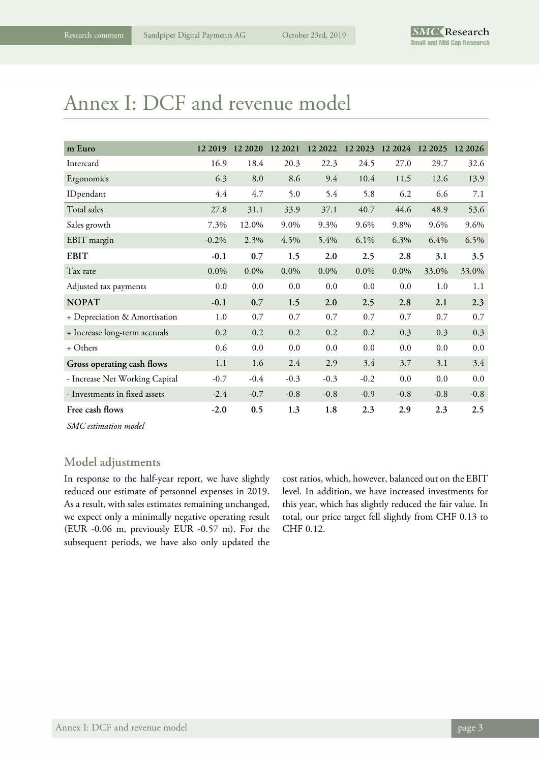# Annex I: DCF and revenue model

| m Euro                         | 12 2019 | 12 20 20 | 12 2021 | 12 2022 | 12 2023 | 12 2024 12 2025 |        | 12 20 26 |
|--------------------------------|---------|----------|---------|---------|---------|-----------------|--------|----------|
| Intercard                      | 16.9    | 18.4     | 20.3    | 22.3    | 24.5    | 27.0            | 29.7   | 32.6     |
| Ergonomics                     | 6.3     | 8.0      | 8.6     | 9.4     | 10.4    | 11.5            | 12.6   | 13.9     |
| IDpendant                      | 4.4     | 4.7      | 5.0     | 5.4     | 5.8     | 6.2             | 6.6    | 7.1      |
| Total sales                    | 27.8    | 31.1     | 33.9    | 37.1    | 40.7    | 44.6            | 48.9   | 53.6     |
| Sales growth                   | 7.3%    | 12.0%    | 9.0%    | 9.3%    | 9.6%    | 9.8%            | 9.6%   | 9.6%     |
| EBIT margin                    | $-0.2%$ | 2.3%     | 4.5%    | 5.4%    | 6.1%    | 6.3%            | 6.4%   | 6.5%     |
| <b>EBIT</b>                    | $-0.1$  | 0.7      | 1.5     | 2.0     | 2.5     | 2.8             | 3.1    | 3.5      |
| Tax rate                       | $0.0\%$ | $0.0\%$  | $0.0\%$ | $0.0\%$ | $0.0\%$ | $0.0\%$         | 33.0%  | 33.0%    |
| Adjusted tax payments          | 0.0     | 0.0      | 0.0     | 0.0     | 0.0     | 0.0             | 1.0    | 1.1      |
| <b>NOPAT</b>                   | $-0.1$  | 0.7      | 1.5     | 2.0     | 2.5     | 2.8             | 2.1    | 2.3      |
| + Depreciation & Amortisation  | 1.0     | 0.7      | 0.7     | 0.7     | 0.7     | 0.7             | 0.7    | 0.7      |
| + Increase long-term accruals  | 0.2     | 0.2      | 0.2     | 0.2     | 0.2     | 0.3             | 0.3    | 0.3      |
| + Others                       | 0.6     | 0.0      | 0.0     | 0.0     | 0.0     | 0.0             | 0.0    | 0.0      |
| Gross operating cash flows     | 1.1     | 1.6      | 2.4     | 2.9     | 3.4     | 3.7             | 3.1    | 3.4      |
| - Increase Net Working Capital | $-0.7$  | $-0.4$   | $-0.3$  | $-0.3$  | $-0.2$  | 0.0             | 0.0    | 0.0      |
| - Investments in fixed assets  | $-2.4$  | $-0.7$   | $-0.8$  | $-0.8$  | $-0.9$  | $-0.8$          | $-0.8$ | $-0.8$   |
| Free cash flows                | $-2.0$  | 0.5      | 1.3     | 1.8     | 2.3     | 2.9             | 2.3    | 2.5      |

*SMC estimation model* 

### **Model adjustments**

In response to the half-year report, we have slightly reduced our estimate of personnel expenses in 2019. As a result, with sales estimates remaining unchanged, we expect only a minimally negative operating result (EUR -0.06 m, previously EUR -0.57 m). For the subsequent periods, we have also only updated the

cost ratios, which, however, balanced out on the EBIT level. In addition, we have increased investments for this year, which has slightly reduced the fair value. In total, our price target fell slightly from CHF 0.13 to CHF 0.12.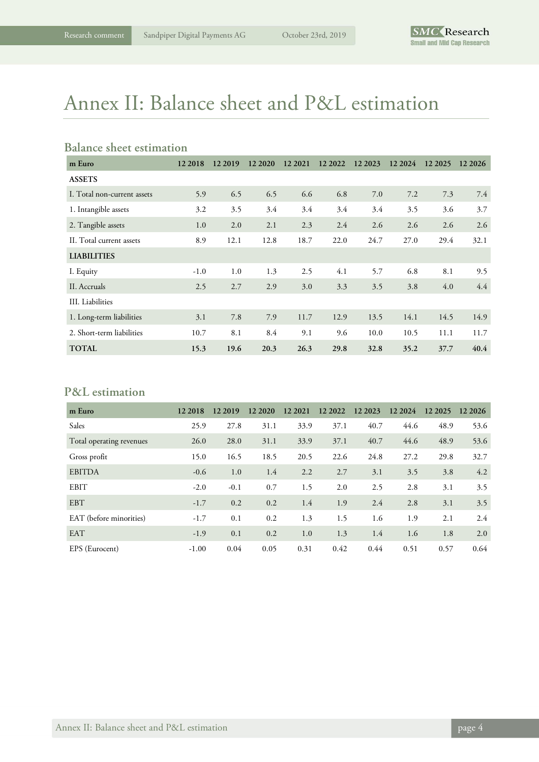# Annex II: Balance sheet and P&L estimation

### **Balance sheet estimation**

| m Euro                      | 12 2018 | 12 2019 | 12 20 20 | 12 2021 | 12 2022 | 12 2023 | 12 2024 | 12 2025 | 12 20 26 |
|-----------------------------|---------|---------|----------|---------|---------|---------|---------|---------|----------|
| <b>ASSETS</b>               |         |         |          |         |         |         |         |         |          |
| I. Total non-current assets | 5.9     | 6.5     | 6.5      | 6.6     | 6.8     | 7.0     | 7.2     | 7.3     | 7.4      |
| 1. Intangible assets        | 3.2     | 3.5     | 3.4      | 3.4     | 3.4     | 3.4     | 3.5     | 3.6     | 3.7      |
| 2. Tangible assets          | 1.0     | 2.0     | 2.1      | 2.3     | 2.4     | 2.6     | 2.6     | 2.6     | 2.6      |
| II. Total current assets    | 8.9     | 12.1    | 12.8     | 18.7    | 22.0    | 24.7    | 27.0    | 29.4    | 32.1     |
| <b>LIABILITIES</b>          |         |         |          |         |         |         |         |         |          |
| I. Equity                   | $-1.0$  | 1.0     | 1.3      | 2.5     | 4.1     | 5.7     | 6.8     | 8.1     | 9.5      |
| II. Accruals                | 2.5     | 2.7     | 2.9      | 3.0     | 3.3     | 3.5     | 3.8     | 4.0     | 4.4      |
| III. Liabilities            |         |         |          |         |         |         |         |         |          |
| 1. Long-term liabilities    | 3.1     | 7.8     | 7.9      | 11.7    | 12.9    | 13.5    | 14.1    | 14.5    | 14.9     |
| 2. Short-term liabilities   | 10.7    | 8.1     | 8.4      | 9.1     | 9.6     | 10.0    | 10.5    | 11.1    | 11.7     |
| <b>TOTAL</b>                | 15.3    | 19.6    | 20.3     | 26.3    | 29.8    | 32.8    | 35.2    | 37.7    | 40.4     |

### **P&L estimation**

| m Euro                   | 12 2018 | 12 2019 | 12 20 20 | 12 2021 | 12 2022 | 12 2023 | 12 2024 | 12 20 25 | 12 20 26 |
|--------------------------|---------|---------|----------|---------|---------|---------|---------|----------|----------|
| Sales                    | 25.9    | 27.8    | 31.1     | 33.9    | 37.1    | 40.7    | 44.6    | 48.9     | 53.6     |
| Total operating revenues | 26.0    | 28.0    | 31.1     | 33.9    | 37.1    | 40.7    | 44.6    | 48.9     | 53.6     |
| Gross profit             | 15.0    | 16.5    | 18.5     | 20.5    | 22.6    | 24.8    | 27.2    | 29.8     | 32.7     |
| <b>EBITDA</b>            | $-0.6$  | 1.0     | 1.4      | 2.2     | 2.7     | 3.1     | 3.5     | 3.8      | 4.2      |
| <b>EBIT</b>              | $-2.0$  | $-0.1$  | 0.7      | 1.5     | 2.0     | 2.5     | 2.8     | 3.1      | 3.5      |
| <b>EBT</b>               | $-1.7$  | 0.2     | 0.2      | 1.4     | 1.9     | 2.4     | 2.8     | 3.1      | 3.5      |
| EAT (before minorities)  | $-1.7$  | 0.1     | 0.2      | 1.3     | 1.5     | 1.6     | 1.9     | 2.1      | 2.4      |
| <b>EAT</b>               | $-1.9$  | 0.1     | 0.2      | 1.0     | 1.3     | 1.4     | 1.6     | 1.8      | 2.0      |
| EPS (Eurocent)           | $-1.00$ | 0.04    | 0.05     | 0.31    | 0.42    | 0.44    | 0.51    | 0.57     | 0.64     |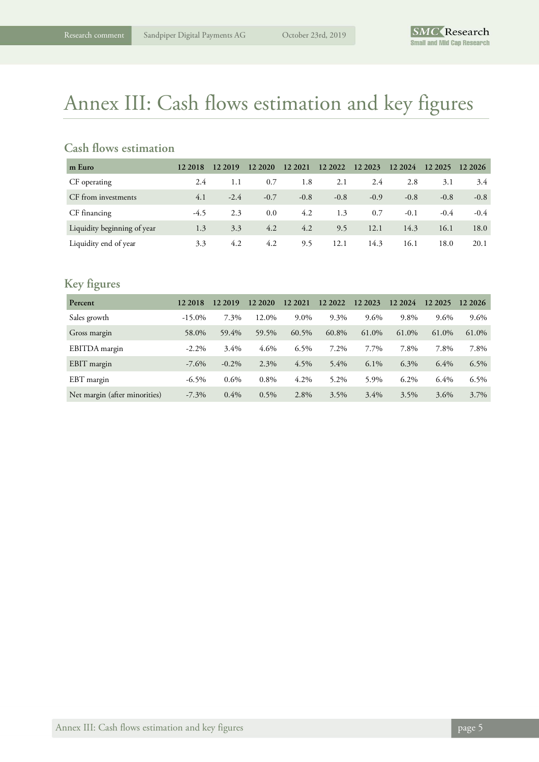# Annex III: Cash flows estimation and key figures

### **Cash flows estimation**

| m Euro                      | 12 2018 | 12 2019 | 12 20 20 | 12 2021 | 12 2022 | 12 2023 | 12 2024 | 12 20 25 | 12 20 26 |
|-----------------------------|---------|---------|----------|---------|---------|---------|---------|----------|----------|
| CF operating                | 2.4     | 1.1     | 0.7      | 1.8     | 2.1     | 2.4     | 2.8     | 3.1      | 3.4      |
| CF from investments         | 4.1     | $-2.4$  | $-0.7$   | $-0.8$  | $-0.8$  | $-0.9$  | $-0.8$  | $-0.8$   | $-0.8$   |
| CF financing                | $-4.5$  | 2.3     | 0.0      | 4.2     | 1.3     | 0.7     | $-0.1$  | $-0.4$   | $-0.4$   |
| Liquidity beginning of year | 1.3     | 3.3     | 4.2      | 4.2     | 9.5     | 12.1    | 14.3    | 16.1     | 18.0     |
| Liquidity end of year       | 3.3     | 4.2     | 4.2      | 9.5     | 12.1    | 14.3    | 16.1    | 18.0     | 20.1     |

## **Key figures**

| Percent                       | 12 2018   | 12 2019  | 12 20 20 | 12 2021 | 12 2022 | 12 2023 | 12 2024 | 12 2025 | 12 20 26 |
|-------------------------------|-----------|----------|----------|---------|---------|---------|---------|---------|----------|
| Sales growth                  | $-15.0\%$ | 7.3%     | 12.0%    | 9.0%    | 9.3%    | 9.6%    | 9.8%    | 9.6%    | 9.6%     |
| Gross margin                  | 58.0%     | 59.4%    | 59.5%    | 60.5%   | 60.8%   | 61.0%   | 61.0%   | 61.0%   | 61.0%    |
| EBITDA margin                 | $-2.2\%$  | $3.4\%$  | $4.6\%$  | $6.5\%$ | 7.2%    | 7.7%    | 7.8%    | 7.8%    | 7.8%     |
| EBIT margin                   | $-7.6\%$  | $-0.2\%$ | 2.3%     | 4.5%    | $5.4\%$ | $6.1\%$ | 6.3%    | $6.4\%$ | 6.5%     |
| EBT margin                    | $-6.5\%$  | $0.6\%$  | 0.8%     | 4.2%    | 5.2%    | 5.9%    | $6.2\%$ | 6.4%    | $6.5\%$  |
| Net margin (after minorities) | $-7.3\%$  | $0.4\%$  | 0.5%     | 2.8%    | 3.5%    | $3.4\%$ | 3.5%    | 3.6%    | 3.7%     |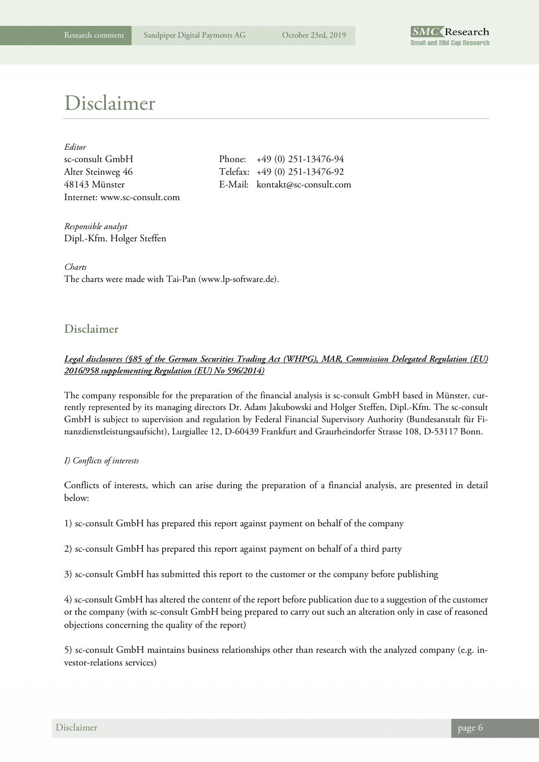

# Disclaimer

| Editor                       |
|------------------------------|
| sc-consult GmbH              |
| Alter Steinweg 46            |
| 48143 Münster                |
| Internet: www.sc-consult.com |

Phone:  $+49 (0) 251-13476-94$ Telefax: +49 (0) 251-13476-92 E-Mail: kontakt@sc-consult.com

*Responsible analyst*  Dipl.-Kfm. Holger Steffen

*Charts*  The charts were made with Tai-Pan (www.lp-software.de).

### **Disclaimer**

#### *Legal disclosures (§85 of the German Securities Trading Act (WHPG), MAR, Commission Delegated Regulation (EU) 2016/958 supplementing Regulation (EU) No 596/2014)*

The company responsible for the preparation of the financial analysis is sc-consult GmbH based in Münster, currently represented by its managing directors Dr. Adam Jakubowski and Holger Steffen, Dipl.-Kfm. The sc-consult GmbH is subject to supervision and regulation by Federal Financial Supervisory Authority (Bundesanstalt für Finanzdienstleistungsaufsicht), Lurgiallee 12, D-60439 Frankfurt and Graurheindorfer Strasse 108, D-53117 Bonn.

#### *I) Conflicts of interests*

Conflicts of interests, which can arise during the preparation of a financial analysis, are presented in detail below:

1) sc-consult GmbH has prepared this report against payment on behalf of the company

2) sc-consult GmbH has prepared this report against payment on behalf of a third party

3) sc-consult GmbH has submitted this report to the customer or the company before publishing

4) sc-consult GmbH has altered the content of the report before publication due to a suggestion of the customer or the company (with sc-consult GmbH being prepared to carry out such an alteration only in case of reasoned objections concerning the quality of the report)

5) sc-consult GmbH maintains business relationships other than research with the analyzed company (e.g. investor-relations services)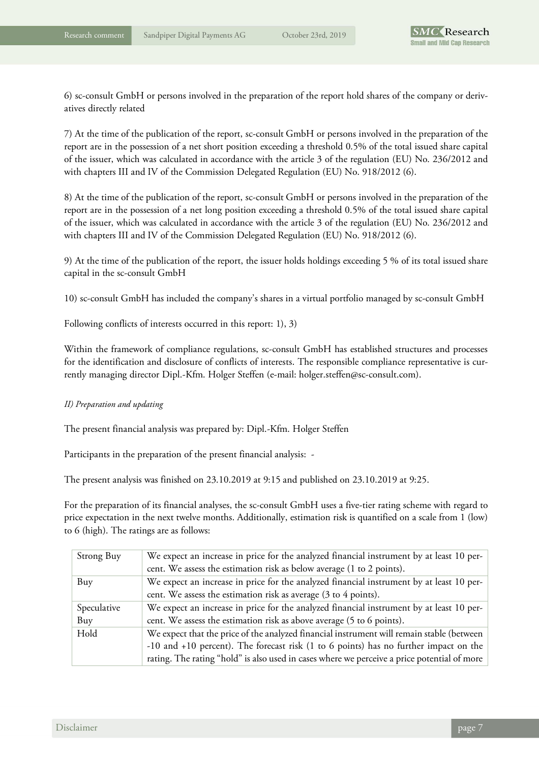6) sc-consult GmbH or persons involved in the preparation of the report hold shares of the company or derivatives directly related

7) At the time of the publication of the report, sc-consult GmbH or persons involved in the preparation of the report are in the possession of a net short position exceeding a threshold 0.5% of the total issued share capital of the issuer, which was calculated in accordance with the article 3 of the regulation (EU) No. 236/2012 and with chapters III and IV of the Commission Delegated Regulation (EU) No. 918/2012 (6).

8) At the time of the publication of the report, sc-consult GmbH or persons involved in the preparation of the report are in the possession of a net long position exceeding a threshold 0.5% of the total issued share capital of the issuer, which was calculated in accordance with the article 3 of the regulation (EU) No. 236/2012 and with chapters III and IV of the Commission Delegated Regulation (EU) No. 918/2012 (6).

9) At the time of the publication of the report, the issuer holds holdings exceeding 5 % of its total issued share capital in the sc-consult GmbH

10) sc-consult GmbH has included the company's shares in a virtual portfolio managed by sc-consult GmbH

Following conflicts of interests occurred in this report: 1), 3)

Within the framework of compliance regulations, sc-consult GmbH has established structures and processes for the identification and disclosure of conflicts of interests. The responsible compliance representative is currently managing director Dipl.-Kfm. Holger Steffen (e-mail: holger.steffen@sc-consult.com).

#### *II) Preparation and updating*

The present financial analysis was prepared by: Dipl.-Kfm. Holger Steffen

Participants in the preparation of the present financial analysis: -

The present analysis was finished on 23.10.2019 at 9:15 and published on 23.10.2019 at 9:25.

For the preparation of its financial analyses, the sc-consult GmbH uses a five-tier rating scheme with regard to price expectation in the next twelve months. Additionally, estimation risk is quantified on a scale from 1 (low) to 6 (high). The ratings are as follows:

| Strong Buy  | We expect an increase in price for the analyzed financial instrument by at least 10 per-    |
|-------------|---------------------------------------------------------------------------------------------|
|             | cent. We assess the estimation risk as below average (1 to 2 points).                       |
| Buy         | We expect an increase in price for the analyzed financial instrument by at least 10 per-    |
|             | cent. We assess the estimation risk as average (3 to 4 points).                             |
| Speculative | We expect an increase in price for the analyzed financial instrument by at least 10 per-    |
| Buy         | cent. We assess the estimation risk as above average (5 to 6 points).                       |
| Hold        | We expect that the price of the analyzed financial instrument will remain stable (between   |
|             | -10 and +10 percent). The forecast risk (1 to 6 points) has no further impact on the        |
|             | rating. The rating "hold" is also used in cases where we perceive a price potential of more |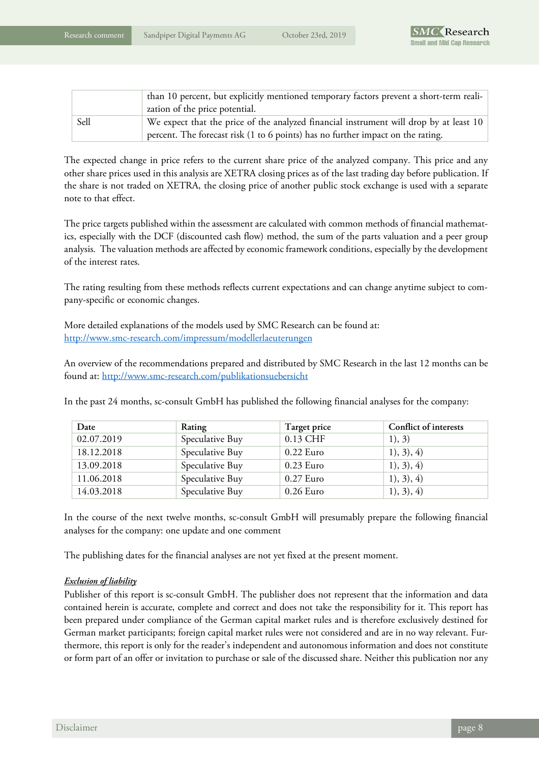|      | than 10 percent, but explicitly mentioned temporary factors prevent a short-term reali-<br>zation of the price potential.                                                 |
|------|---------------------------------------------------------------------------------------------------------------------------------------------------------------------------|
| Sell | We expect that the price of the analyzed financial instrument will drop by at least 10<br>percent. The forecast risk (1 to 6 points) has no further impact on the rating. |

The expected change in price refers to the current share price of the analyzed company. This price and any other share prices used in this analysis are XETRA closing prices as of the last trading day before publication. If the share is not traded on XETRA, the closing price of another public stock exchange is used with a separate note to that effect.

The price targets published within the assessment are calculated with common methods of financial mathematics, especially with the DCF (discounted cash flow) method, the sum of the parts valuation and a peer group analysis. The valuation methods are affected by economic framework conditions, especially by the development of the interest rates.

The rating resulting from these methods reflects current expectations and can change anytime subject to company-specific or economic changes.

More detailed explanations of the models used by SMC Research can be found at: http://www.smc-research.com/impressum/modellerlaeuterungen

An overview of the recommendations prepared and distributed by SMC Research in the last 12 months can be found at: http://www.smc-research.com/publikationsuebersicht

In the past 24 months, sc-consult GmbH has published the following financial analyses for the company:

| Date       | Rating          | Target price | Conflict of interests |
|------------|-----------------|--------------|-----------------------|
| 02.07.2019 | Speculative Buy | 0.13 CHF     | 1), 3)                |
| 18.12.2018 | Speculative Buy | $0.22$ Euro  | 1), 3), 4)            |
| 13.09.2018 | Speculative Buy | $0.23$ Euro  | 1), 3), 4)            |
| 11.06.2018 | Speculative Buy | $0.27$ Euro  | 1), 3), 4)            |
| 14.03.2018 | Speculative Buy | $0.26$ Euro  | 1), 3), 4)            |

In the course of the next twelve months, sc-consult GmbH will presumably prepare the following financial analyses for the company: one update and one comment

The publishing dates for the financial analyses are not yet fixed at the present moment.

#### *Exclusion of liability*

Publisher of this report is sc-consult GmbH. The publisher does not represent that the information and data contained herein is accurate, complete and correct and does not take the responsibility for it. This report has been prepared under compliance of the German capital market rules and is therefore exclusively destined for German market participants; foreign capital market rules were not considered and are in no way relevant. Furthermore, this report is only for the reader's independent and autonomous information and does not constitute or form part of an offer or invitation to purchase or sale of the discussed share. Neither this publication nor any